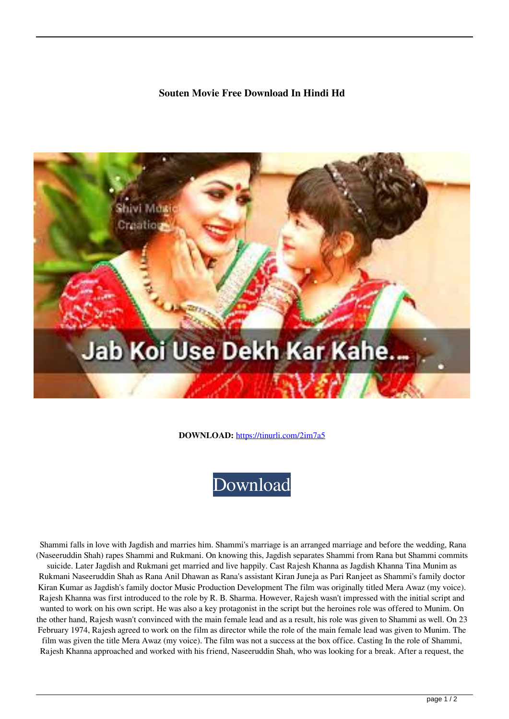## **Souten Movie Free Download In Hindi Hd**



**DOWNLOAD:** <https://tinurli.com/2im7a5>



 Shammi falls in love with Jagdish and marries him. Shammi's marriage is an arranged marriage and before the wedding, Rana (Naseeruddin Shah) rapes Shammi and Rukmani. On knowing this, Jagdish separates Shammi from Rana but Shammi commits suicide. Later Jagdish and Rukmani get married and live happily. Cast Rajesh Khanna as Jagdish Khanna Tina Munim as Rukmani Naseeruddin Shah as Rana Anil Dhawan as Rana's assistant Kiran Juneja as Pari Ranjeet as Shammi's family doctor

Kiran Kumar as Jagdish's family doctor Music Production Development The film was originally titled Mera Awaz (my voice). Rajesh Khanna was first introduced to the role by R. B. Sharma. However, Rajesh wasn't impressed with the initial script and wanted to work on his own script. He was also a key protagonist in the script but the heroines role was offered to Munim. On the other hand, Rajesh wasn't convinced with the main female lead and as a result, his role was given to Shammi as well. On 23 February 1974, Rajesh agreed to work on the film as director while the role of the main female lead was given to Munim. The

film was given the title Mera Awaz (my voice). The film was not a success at the box office. Casting In the role of Shammi, Rajesh Khanna approached and worked with his friend, Naseeruddin Shah, who was looking for a break. After a request, the